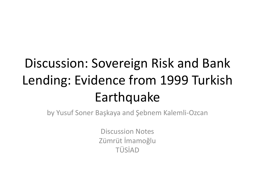### Discussion: Sovereign Risk and Bank Lending: Evidence from 1999 Turkish Earthquake

by Yusuf Soner Başkaya and Şebnem Kalemli-Ozcan

Discussion Notes Zümrüt İmamoğlu TÜSİAD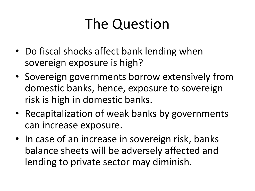## The Question

- Do fiscal shocks affect bank lending when sovereign exposure is high?
- Sovereign governments borrow extensively from domestic banks, hence, exposure to sovereign risk is high in domestic banks.
- Recapitalization of weak banks by governments can increase exposure.
- In case of an increase in sovereign risk, banks balance sheets will be adversely affected and lending to private sector may diminish.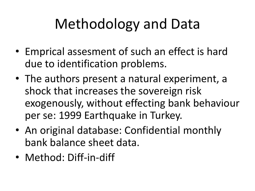# Methodology and Data

- Emprical assesment of such an effect is hard due to identification problems.
- The authors present a natural experiment, a shock that increases the sovereign risk exogenously, without effecting bank behaviour per se: 1999 Earthquake in Turkey.
- An original database: Confidential monthly bank balance sheet data.
- Method: Diff-in-diff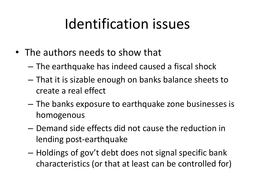### Identification issues

- The authors needs to show that
	- The earthquake has indeed caused a fiscal shock
	- That it is sizable enough on banks balance sheets to create a real effect
	- The banks exposure to earthquake zone businesses is homogenous
	- Demand side effects did not cause the reduction in lending post-earthquake
	- Holdings of gov't debt does not signal specific bank characteristics (or that at least can be controlled for)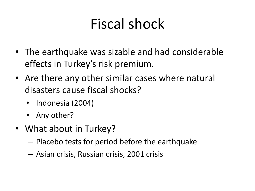# Fiscal shock

- The earthquake was sizable and had considerable effects in Turkey's risk premium.
- Are there any other similar cases where natural disasters cause fiscal shocks?
	- Indonesia (2004)
	- Any other?
- What about in Turkey?
	- Placebo tests for period before the earthquake
	- Asian crisis, Russian crisis, 2001 crisis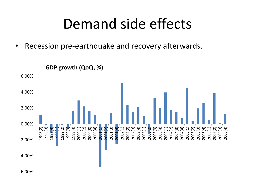#### Demand side effects

• Recession pre-earthquake and recovery afterwards.

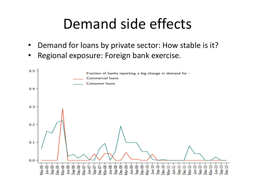### Demand side effects

- Demand for loans by private sector: How stable is it?
- Regional exposure: Foreign bank exercise.

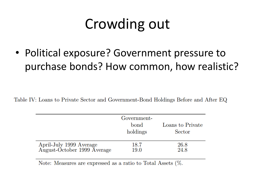# Crowding out

• Political exposure? Government pressure to purchase bonds? How common, how realistic?

Table IV: Loans to Private Sector and Government-Bond Holdings Before and After EQ

|                                                                      | Government-<br>bond<br>holdings | Loans to Private<br>Sector |
|----------------------------------------------------------------------|---------------------------------|----------------------------|
| April-July 1999 Average<br>August-October 1999 Average               | 18.7<br>19.0                    | 26.8<br>24.8               |
| Note: Moseures are expressed as a ratio to Total Assots $\mathbb{Z}$ |                                 |                            |

Trote: Measures are expressed as a ratio to Total Assets (70.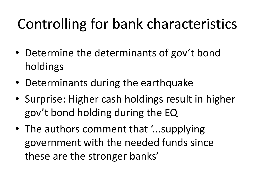# Controlling for bank characteristics

- Determine the determinants of gov't bond holdings
- Determinants during the earthquake
- Surprise: Higher cash holdings result in higher gov't bond holding during the EQ
- The authors comment that '...supplying government with the needed funds since these are the stronger banks'